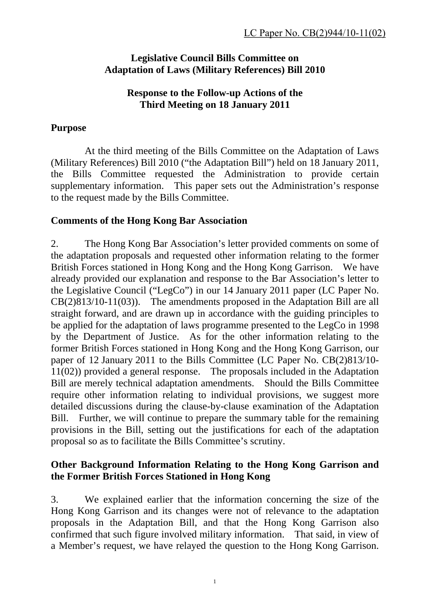### **Legislative Council Bills Committee on Adaptation of Laws (Military References) Bill 2010**

#### **Response to the Follow-up Actions of the Third Meeting on 18 January 2011**

## **Purpose**

 At the third meeting of the Bills Committee on the Adaptation of Laws (Military References) Bill 2010 ("the Adaptation Bill") held on 18 January 2011, the Bills Committee requested the Administration to provide certain supplementary information. This paper sets out the Administration's response to the request made by the Bills Committee.

# **Comments of the Hong Kong Bar Association**

2. The Hong Kong Bar Association's letter provided comments on some of the adaptation proposals and requested other information relating to the former British Forces stationed in Hong Kong and the Hong Kong Garrison. We have already provided our explanation and response to the Bar Association's letter to the Legislative Council ("LegCo") in our 14 January 2011 paper (LC Paper No. CB(2)813/10-11(03)). The amendments proposed in the Adaptation Bill are all straight forward, and are drawn up in accordance with the guiding principles to be applied for the adaptation of laws programme presented to the LegCo in 1998 by the Department of Justice. As for the other information relating to the former British Forces stationed in Hong Kong and the Hong Kong Garrison, our paper of 12 January 2011 to the Bills Committee (LC Paper No. CB(2)813/10- 11(02)) provided a general response. The proposals included in the Adaptation Bill are merely technical adaptation amendments. Should the Bills Committee require other information relating to individual provisions, we suggest more detailed discussions during the clause-by-clause examination of the Adaptation Bill. Further, we will continue to prepare the summary table for the remaining provisions in the Bill, setting out the justifications for each of the adaptation proposal so as to facilitate the Bills Committee's scrutiny.

# **Other Background Information Relating to the Hong Kong Garrison and the Former British Forces Stationed in Hong Kong**

3. We explained earlier that the information concerning the size of the Hong Kong Garrison and its changes were not of relevance to the adaptation proposals in the Adaptation Bill, and that the Hong Kong Garrison also confirmed that such figure involved military information. That said, in view of a Member's request, we have relayed the question to the Hong Kong Garrison.